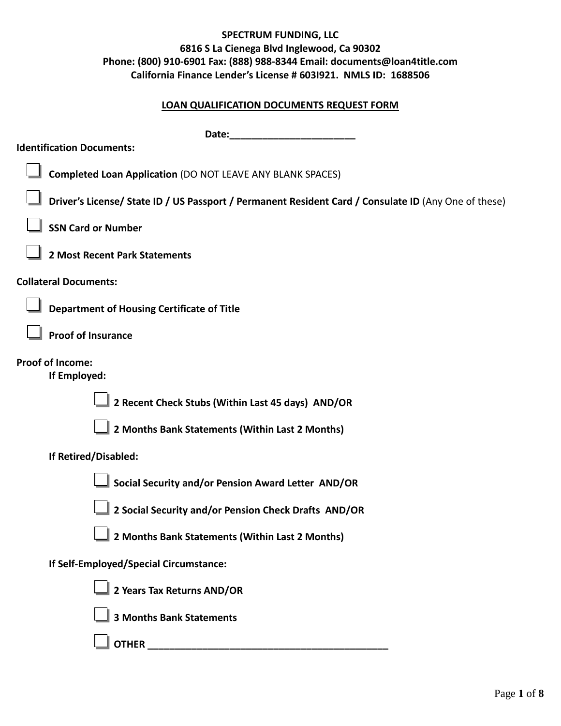#### **LOAN QUALIFICATION DOCUMENTS REQUEST FORM**

| Date:                                                                                                |
|------------------------------------------------------------------------------------------------------|
| <b>Identification Documents:</b>                                                                     |
| <b>Completed Loan Application (DO NOT LEAVE ANY BLANK SPACES)</b>                                    |
| Driver's License/ State ID / US Passport / Permanent Resident Card / Consulate ID (Any One of these) |
| <b>SSN Card or Number</b>                                                                            |
| 2 Most Recent Park Statements                                                                        |
| <b>Collateral Documents:</b>                                                                         |
| <b>Department of Housing Certificate of Title</b>                                                    |
| <b>Proof of Insurance</b>                                                                            |
| <b>Proof of Income:</b><br>If Employed:                                                              |
| 2 Recent Check Stubs (Within Last 45 days) AND/OR                                                    |
| 2 Months Bank Statements (Within Last 2 Months)                                                      |
| If Retired/Disabled:                                                                                 |
| Social Security and/or Pension Award Letter AND/OR                                                   |
| 2 Social Security and/or Pension Check Drafts AND/OR                                                 |
| 2 Months Bank Statements (Within Last 2 Months)                                                      |
| If Self-Employed/Special Circumstance:                                                               |
| 2 Years Tax Returns AND/OR                                                                           |
| <b>3 Months Bank Statements</b>                                                                      |
|                                                                                                      |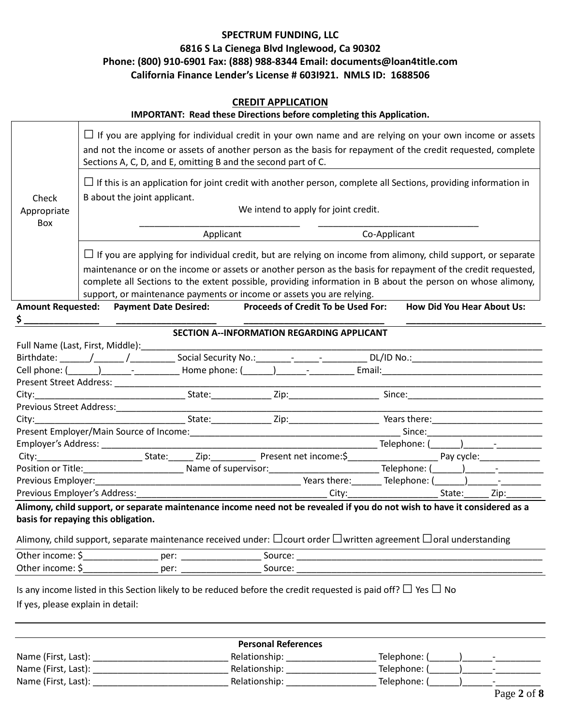|                                                                                                                                                                                                                                                                                                        |                                                                                                                                                                                                |  |  |                                                               | <b>CREDIT APPLICATION</b> |  | IMPORTANT: Read these Directions before completing this Application.                                                                                                                                                                                                                                                                                                                                                         |  |              |                                   |  |                                                                                                                                                                                                                                                                                                                                                                                                                                                                                                  |
|--------------------------------------------------------------------------------------------------------------------------------------------------------------------------------------------------------------------------------------------------------------------------------------------------------|------------------------------------------------------------------------------------------------------------------------------------------------------------------------------------------------|--|--|---------------------------------------------------------------|---------------------------|--|------------------------------------------------------------------------------------------------------------------------------------------------------------------------------------------------------------------------------------------------------------------------------------------------------------------------------------------------------------------------------------------------------------------------------|--|--------------|-----------------------------------|--|--------------------------------------------------------------------------------------------------------------------------------------------------------------------------------------------------------------------------------------------------------------------------------------------------------------------------------------------------------------------------------------------------------------------------------------------------------------------------------------------------|
|                                                                                                                                                                                                                                                                                                        |                                                                                                                                                                                                |  |  | Sections A, C, D, and E, omitting B and the second part of C. |                           |  | If you are applying for individual credit in your own name and are relying on your own income or assets<br>and not the income or assets of another person as the basis for repayment of the credit requested, complete                                                                                                                                                                                                       |  |              |                                   |  |                                                                                                                                                                                                                                                                                                                                                                                                                                                                                                  |
| Check<br>Appropriate                                                                                                                                                                                                                                                                                   | $\Box$ If this is an application for joint credit with another person, complete all Sections, providing information in<br>B about the joint applicant.<br>We intend to apply for joint credit. |  |  |                                                               |                           |  |                                                                                                                                                                                                                                                                                                                                                                                                                              |  |              |                                   |  |                                                                                                                                                                                                                                                                                                                                                                                                                                                                                                  |
| Box                                                                                                                                                                                                                                                                                                    |                                                                                                                                                                                                |  |  | Applicant                                                     |                           |  |                                                                                                                                                                                                                                                                                                                                                                                                                              |  | Co-Applicant |                                   |  |                                                                                                                                                                                                                                                                                                                                                                                                                                                                                                  |
| Amount Requested: Payment Date Desired: Proceeds of Credit To be Used For:                                                                                                                                                                                                                             |                                                                                                                                                                                                |  |  |                                                               |                           |  | $\Box$ If you are applying for individual credit, but are relying on income from alimony, child support, or separate<br>maintenance or on the income or assets or another person as the basis for repayment of the credit requested,<br>complete all Sections to the extent possible, providing information in B about the person on whose alimony,<br>support, or maintenance payments or income or assets you are relying. |  |              | <b>How Did You Hear About Us:</b> |  |                                                                                                                                                                                                                                                                                                                                                                                                                                                                                                  |
|                                                                                                                                                                                                                                                                                                        |                                                                                                                                                                                                |  |  |                                                               |                           |  | <b>SECTION A--INFORMATION REGARDING APPLICANT</b>                                                                                                                                                                                                                                                                                                                                                                            |  |              |                                   |  |                                                                                                                                                                                                                                                                                                                                                                                                                                                                                                  |
|                                                                                                                                                                                                                                                                                                        |                                                                                                                                                                                                |  |  |                                                               |                           |  |                                                                                                                                                                                                                                                                                                                                                                                                                              |  |              |                                   |  |                                                                                                                                                                                                                                                                                                                                                                                                                                                                                                  |
| Birthdate: _______/________/______________Social Security No.:______________________________DL/ID No.:_________________________________                                                                                                                                                                |                                                                                                                                                                                                |  |  |                                                               |                           |  |                                                                                                                                                                                                                                                                                                                                                                                                                              |  |              |                                   |  |                                                                                                                                                                                                                                                                                                                                                                                                                                                                                                  |
|                                                                                                                                                                                                                                                                                                        |                                                                                                                                                                                                |  |  |                                                               |                           |  |                                                                                                                                                                                                                                                                                                                                                                                                                              |  |              |                                   |  |                                                                                                                                                                                                                                                                                                                                                                                                                                                                                                  |
|                                                                                                                                                                                                                                                                                                        |                                                                                                                                                                                                |  |  |                                                               |                           |  |                                                                                                                                                                                                                                                                                                                                                                                                                              |  |              |                                   |  |                                                                                                                                                                                                                                                                                                                                                                                                                                                                                                  |
|                                                                                                                                                                                                                                                                                                        |                                                                                                                                                                                                |  |  |                                                               |                           |  |                                                                                                                                                                                                                                                                                                                                                                                                                              |  |              |                                   |  |                                                                                                                                                                                                                                                                                                                                                                                                                                                                                                  |
|                                                                                                                                                                                                                                                                                                        |                                                                                                                                                                                                |  |  |                                                               |                           |  |                                                                                                                                                                                                                                                                                                                                                                                                                              |  |              |                                   |  |                                                                                                                                                                                                                                                                                                                                                                                                                                                                                                  |
|                                                                                                                                                                                                                                                                                                        |                                                                                                                                                                                                |  |  |                                                               |                           |  |                                                                                                                                                                                                                                                                                                                                                                                                                              |  |              |                                   |  |                                                                                                                                                                                                                                                                                                                                                                                                                                                                                                  |
|                                                                                                                                                                                                                                                                                                        |                                                                                                                                                                                                |  |  |                                                               |                           |  |                                                                                                                                                                                                                                                                                                                                                                                                                              |  |              |                                   |  |                                                                                                                                                                                                                                                                                                                                                                                                                                                                                                  |
|                                                                                                                                                                                                                                                                                                        |                                                                                                                                                                                                |  |  |                                                               |                           |  |                                                                                                                                                                                                                                                                                                                                                                                                                              |  |              |                                   |  |                                                                                                                                                                                                                                                                                                                                                                                                                                                                                                  |
|                                                                                                                                                                                                                                                                                                        |                                                                                                                                                                                                |  |  |                                                               |                           |  |                                                                                                                                                                                                                                                                                                                                                                                                                              |  |              |                                   |  |                                                                                                                                                                                                                                                                                                                                                                                                                                                                                                  |
|                                                                                                                                                                                                                                                                                                        |                                                                                                                                                                                                |  |  |                                                               |                           |  |                                                                                                                                                                                                                                                                                                                                                                                                                              |  |              |                                   |  | $\begin{tabular}{ll} \multicolumn{2}{c} {\textbf{1}} & \multicolumn{2}{c} {\textbf{1}} & \multicolumn{2}{c} {\textbf{1}} \\ \multicolumn{2}{c} {\textbf{2}} & \multicolumn{2}{c} {\textbf{3}} & \multicolumn{2}{c} {\textbf{4}} \\ \multicolumn{2}{c} {\textbf{5}} & \multicolumn{2}{c} {\textbf{6}} & \multicolumn{2}{c} {\textbf{7}} \\ \multicolumn{2}{c} {\textbf{6}} & \multicolumn{2}{c} {\textbf{1}} & \multicolumn{2}{c} {\textbf{1}} \\ \multicolumn{2}{c} {\textbf{1}} & \multicolumn$ |
|                                                                                                                                                                                                                                                                                                        |                                                                                                                                                                                                |  |  |                                                               |                           |  |                                                                                                                                                                                                                                                                                                                                                                                                                              |  |              |                                   |  |                                                                                                                                                                                                                                                                                                                                                                                                                                                                                                  |
|                                                                                                                                                                                                                                                                                                        |                                                                                                                                                                                                |  |  |                                                               |                           |  |                                                                                                                                                                                                                                                                                                                                                                                                                              |  |              |                                   |  |                                                                                                                                                                                                                                                                                                                                                                                                                                                                                                  |
| Alimony, child support, or separate maintenance income need not be revealed if you do not wish to have it considered as a<br>basis for repaying this obligation.<br>Alimony, child support, separate maintenance received under: $\Box$ court order $\Box$ written agreement $\Box$ oral understanding |                                                                                                                                                                                                |  |  |                                                               |                           |  |                                                                                                                                                                                                                                                                                                                                                                                                                              |  |              |                                   |  |                                                                                                                                                                                                                                                                                                                                                                                                                                                                                                  |
| Other income: \$__________________ per: __________________                                                                                                                                                                                                                                             |                                                                                                                                                                                                |  |  |                                                               |                           |  |                                                                                                                                                                                                                                                                                                                                                                                                                              |  |              |                                   |  |                                                                                                                                                                                                                                                                                                                                                                                                                                                                                                  |
| Other income: \$__________________ per: ___________________                                                                                                                                                                                                                                            |                                                                                                                                                                                                |  |  |                                                               |                           |  |                                                                                                                                                                                                                                                                                                                                                                                                                              |  |              |                                   |  |                                                                                                                                                                                                                                                                                                                                                                                                                                                                                                  |
| Is any income listed in this Section likely to be reduced before the credit requested is paid off? $\Box$ Yes $\Box$ No<br>If yes, please explain in detail:                                                                                                                                           |                                                                                                                                                                                                |  |  |                                                               |                           |  |                                                                                                                                                                                                                                                                                                                                                                                                                              |  |              |                                   |  |                                                                                                                                                                                                                                                                                                                                                                                                                                                                                                  |

| <b>Personal References</b> |               |                                          |  |  |  |  |  |
|----------------------------|---------------|------------------------------------------|--|--|--|--|--|
| Name (First, Last):        | Relationship: | Telephone: (<br>$\overline{\phantom{0}}$ |  |  |  |  |  |
| Name (First, Last):        | Relationship: | Telephone: (<br>$\overline{\phantom{0}}$ |  |  |  |  |  |
| Name (First, Last):        | Relationship: | Telephone: (                             |  |  |  |  |  |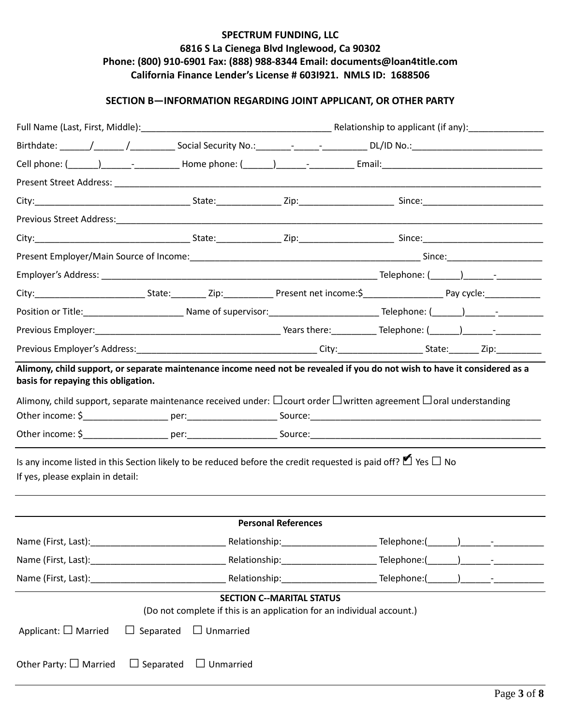### **SECTION B—INFORMATION REGARDING JOINT APPLICANT, OR OTHER PARTY**

|                                                                                                                                                                                                                    |                            | Birthdate: ______/_______/_________________Social Security No.:______________________________DL/ID No.:_______________________________  |
|--------------------------------------------------------------------------------------------------------------------------------------------------------------------------------------------------------------------|----------------------------|-----------------------------------------------------------------------------------------------------------------------------------------|
|                                                                                                                                                                                                                    |                            |                                                                                                                                         |
|                                                                                                                                                                                                                    |                            |                                                                                                                                         |
|                                                                                                                                                                                                                    |                            |                                                                                                                                         |
|                                                                                                                                                                                                                    |                            |                                                                                                                                         |
|                                                                                                                                                                                                                    |                            |                                                                                                                                         |
|                                                                                                                                                                                                                    |                            |                                                                                                                                         |
|                                                                                                                                                                                                                    |                            |                                                                                                                                         |
|                                                                                                                                                                                                                    |                            | City:______________________________State:___________Zip:______________Present net income:\$____________________Pay cycle:______________ |
|                                                                                                                                                                                                                    |                            |                                                                                                                                         |
|                                                                                                                                                                                                                    |                            |                                                                                                                                         |
|                                                                                                                                                                                                                    |                            |                                                                                                                                         |
| basis for repaying this obligation.<br>Is any income listed in this Section likely to be reduced before the credit requested is paid off? $\blacktriangleright$ Yes $\Box$ No<br>If yes, please explain in detail: |                            | Alimony, child support, separate maintenance received under: $\Box$ court order $\Box$ written agreement $\Box$ oral understanding      |
|                                                                                                                                                                                                                    | <b>Personal References</b> |                                                                                                                                         |
|                                                                                                                                                                                                                    |                            |                                                                                                                                         |
|                                                                                                                                                                                                                    |                            |                                                                                                                                         |
|                                                                                                                                                                                                                    |                            |                                                                                                                                         |
|                                                                                                                                                                                                                    |                            |                                                                                                                                         |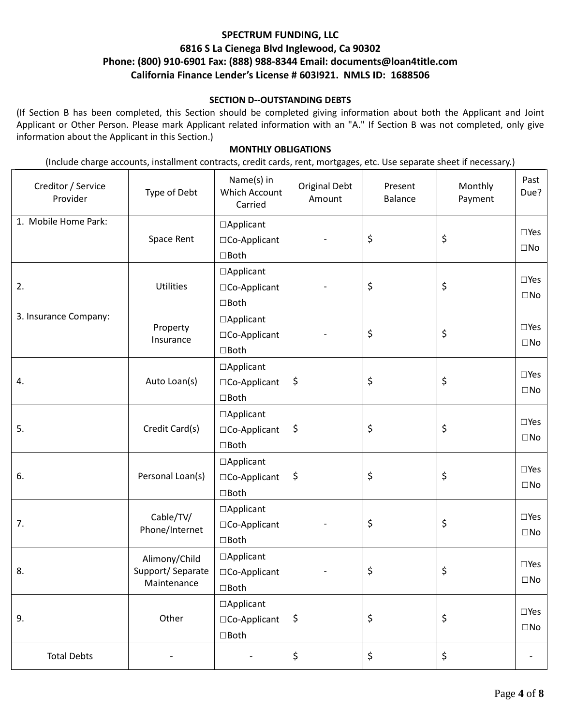#### **SECTION D--OUTSTANDING DEBTS**

(If Section B has been completed, this Section should be completed giving information about both the Applicant and Joint Applicant or Other Person. Please mark Applicant related information with an "A." If Section B was not completed, only give information about the Applicant in this Section.)

#### **MONTHLY OBLIGATIONS**

(Include charge accounts, installment contracts, credit cards, rent, mortgages, etc. Use separate sheet if necessary.)

| Creditor / Service<br>Provider | Type of Debt          | Name(s) in<br>Which Account<br>Carried | <b>Original Debt</b><br>Amount | Present<br><b>Balance</b> | Monthly<br>Payment | Past<br>Due?  |  |
|--------------------------------|-----------------------|----------------------------------------|--------------------------------|---------------------------|--------------------|---------------|--|
| 1. Mobile Home Park:           |                       | □Applicant                             |                                |                           | \$                 | $\square$ Yes |  |
|                                | Space Rent            | □Co-Applicant                          |                                | \$                        |                    | $\square$ No  |  |
|                                |                       | $\Box$ Both                            |                                |                           |                    |               |  |
|                                |                       | □Applicant                             |                                |                           | \$                 | $\square$ Yes |  |
| 2.                             | <b>Utilities</b>      | □Co-Applicant                          |                                | \$                        |                    | $\square$ No  |  |
|                                |                       | $\Box$ Both                            |                                |                           |                    |               |  |
| 3. Insurance Company:          |                       | □Applicant                             |                                |                           |                    | $\square$ Yes |  |
|                                | Property<br>Insurance | □Co-Applicant                          |                                | \$                        | \$                 |               |  |
|                                |                       | $\Box$ Both                            |                                |                           |                    | $\square$ No  |  |
|                                |                       | □Applicant                             |                                |                           |                    |               |  |
| 4.                             | Auto Loan(s)          | □Co-Applicant                          | \$                             | \$                        | \$                 | $\square$ Yes |  |
|                                |                       | $\Box$ Both                            |                                |                           |                    | $\square$ No  |  |
| 5.                             |                       | □Applicant                             |                                | \$                        | \$                 |               |  |
|                                | Credit Card(s)        | □Co-Applicant                          | \$                             |                           |                    | $\square$ Yes |  |
|                                |                       | $\Box$ Both                            |                                |                           |                    | $\square$ No  |  |
|                                |                       | □Applicant                             |                                |                           |                    |               |  |
| 6.                             | Personal Loan(s)      | □Co-Applicant                          | \$                             | \$                        | \$                 | $\square$ Yes |  |
|                                |                       | $\Box$ Both                            |                                |                           |                    | $\square$ No  |  |
|                                |                       | □Applicant                             |                                |                           | \$                 |               |  |
| 7.                             | Cable/TV/             | □Co-Applicant                          |                                | \$                        |                    | $\square$ Yes |  |
|                                | Phone/Internet        | $\square$ Both                         |                                |                           |                    | $\square$ No  |  |
|                                | Alimony/Child         | $\Box$ Applicant                       |                                |                           |                    |               |  |
| 8.                             | Support/Separate      | □Co-Applicant                          |                                | \$                        | \$                 | $\square$ Yes |  |
|                                | Maintenance           | $\square$ Both                         |                                |                           |                    | $\square$ No  |  |
|                                |                       | □Applicant                             |                                |                           |                    |               |  |
| 9.                             | Other                 | □Co-Applicant                          | \$                             | \$                        | \$                 | $\square$ Yes |  |
|                                |                       | $\square$ Both                         |                                |                           |                    | $\square$ No  |  |
|                                |                       |                                        |                                |                           |                    |               |  |
| <b>Total Debts</b>             |                       |                                        | \$                             | \$                        | \$                 |               |  |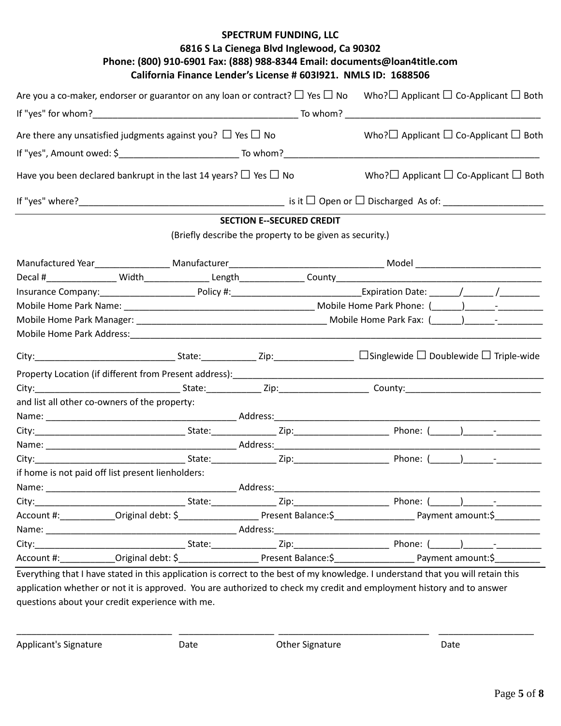|                                                                                                                |  |                                  |                                                          | Are you a co-maker, endorser or guarantor on any loan or contract? $\Box$ Yes $\Box$ No Who? $\Box$ Applicant $\Box$ Co-Applicant $\Box$ Both   |  |  |
|----------------------------------------------------------------------------------------------------------------|--|----------------------------------|----------------------------------------------------------|-------------------------------------------------------------------------------------------------------------------------------------------------|--|--|
|                                                                                                                |  |                                  |                                                          |                                                                                                                                                 |  |  |
| Are there any unsatisfied judgments against you? $\Box$ Yes $\Box$ No                                          |  |                                  |                                                          | Who? $\Box$ Applicant $\Box$ Co-Applicant $\Box$ Both                                                                                           |  |  |
|                                                                                                                |  |                                  |                                                          |                                                                                                                                                 |  |  |
| Have you been declared bankrupt in the last 14 years? $\Box$ Yes $\Box$ No                                     |  |                                  |                                                          | Who? $\square$ Applicant $\square$ Co-Applicant $\square$ Both                                                                                  |  |  |
|                                                                                                                |  |                                  |                                                          |                                                                                                                                                 |  |  |
|                                                                                                                |  | <b>SECTION E--SECURED CREDIT</b> |                                                          |                                                                                                                                                 |  |  |
|                                                                                                                |  |                                  | (Briefly describe the property to be given as security.) |                                                                                                                                                 |  |  |
|                                                                                                                |  |                                  |                                                          |                                                                                                                                                 |  |  |
|                                                                                                                |  |                                  |                                                          |                                                                                                                                                 |  |  |
|                                                                                                                |  |                                  |                                                          |                                                                                                                                                 |  |  |
|                                                                                                                |  |                                  |                                                          |                                                                                                                                                 |  |  |
|                                                                                                                |  |                                  |                                                          |                                                                                                                                                 |  |  |
| Mobile Home Park Address: Notified a state of the state of the state of the state of the state of the state of |  |                                  |                                                          |                                                                                                                                                 |  |  |
|                                                                                                                |  |                                  |                                                          |                                                                                                                                                 |  |  |
|                                                                                                                |  |                                  |                                                          |                                                                                                                                                 |  |  |
|                                                                                                                |  |                                  |                                                          |                                                                                                                                                 |  |  |
| and list all other co-owners of the property:                                                                  |  |                                  |                                                          |                                                                                                                                                 |  |  |
|                                                                                                                |  |                                  |                                                          |                                                                                                                                                 |  |  |
|                                                                                                                |  |                                  |                                                          |                                                                                                                                                 |  |  |
|                                                                                                                |  |                                  |                                                          |                                                                                                                                                 |  |  |
|                                                                                                                |  |                                  |                                                          |                                                                                                                                                 |  |  |
| if home is not paid off list present lienholders:                                                              |  |                                  |                                                          |                                                                                                                                                 |  |  |
|                                                                                                                |  |                                  |                                                          |                                                                                                                                                 |  |  |
| City:                                                                                                          |  |                                  |                                                          |                                                                                                                                                 |  |  |
|                                                                                                                |  |                                  |                                                          | Account #: _____________Original debt: \$________________________Present Balance:\$________________________Payment amount:\$_____________       |  |  |
|                                                                                                                |  |                                  |                                                          |                                                                                                                                                 |  |  |
|                                                                                                                |  |                                  |                                                          |                                                                                                                                                 |  |  |
|                                                                                                                |  |                                  |                                                          | Account #: _____________Original debt: \$_______________________Present Balance:\$______________________________Payment amount:\$______________ |  |  |
|                                                                                                                |  |                                  |                                                          | Everything that I have stated in this annication is correct to the hest of my knowledge. Lunderstand that you will retain this                  |  |  |

Everything that I have stated in this application is correct to the best of my knowledge. I understand that you will retain this application whether or not it is approved. You are authorized to check my credit and employment history and to answer questions about your credit experience with me.

\_\_\_\_\_\_\_\_\_\_\_\_\_\_\_\_\_\_\_\_\_\_\_\_\_\_\_\_\_\_\_ \_\_\_\_\_\_\_\_\_\_\_\_\_\_\_\_\_\_\_ \_\_\_\_\_\_\_\_\_\_\_\_\_\_\_\_\_\_\_\_\_\_\_\_\_\_\_\_\_\_ \_\_\_\_\_\_\_\_\_\_\_\_\_\_\_\_\_\_\_

Applicant's Signature **Contract Contract Contract Contract Contract Contract Contract Contract Contract Contract Contract Contract Contract Contract Contract Contract Contract Contract Contract Contract Contract Contract C**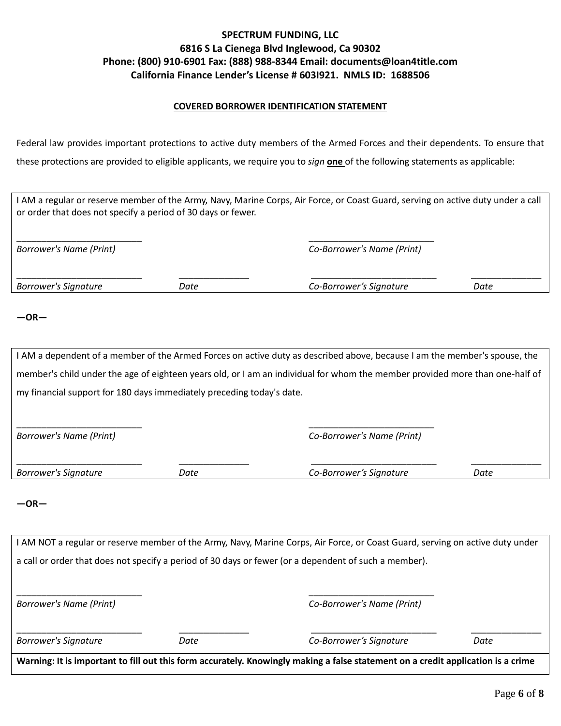#### **COVERED BORROWER IDENTIFICATION STATEMENT**

Federal law provides important protections to active duty members of the Armed Forces and their dependents. To ensure that these protections are provided to eligible applicants, we require you to *sign* **one** of the following statements as applicable:

|                                                                       |      | I AM a regular or reserve member of the Army, Navy, Marine Corps, Air Force, or Coast Guard, serving on active duty under a call |      |
|-----------------------------------------------------------------------|------|----------------------------------------------------------------------------------------------------------------------------------|------|
| or order that does not specify a period of 30 days or fewer.          |      |                                                                                                                                  |      |
|                                                                       |      |                                                                                                                                  |      |
| <b>Borrower's Name (Print)</b>                                        |      | Co-Borrower's Name (Print)                                                                                                       |      |
|                                                                       |      |                                                                                                                                  |      |
|                                                                       |      |                                                                                                                                  |      |
| <b>Borrower's Signature</b>                                           | Date | Co-Borrower's Signature                                                                                                          | Date |
|                                                                       |      |                                                                                                                                  |      |
| $-OR-$                                                                |      |                                                                                                                                  |      |
|                                                                       |      |                                                                                                                                  |      |
|                                                                       |      | I AM a dependent of a member of the Armed Forces on active duty as described above, because I am the member's spouse, the        |      |
|                                                                       |      | member's child under the age of eighteen years old, or I am an individual for whom the member provided more than one-half of     |      |
| my financial support for 180 days immediately preceding today's date. |      |                                                                                                                                  |      |
|                                                                       |      |                                                                                                                                  |      |
|                                                                       |      |                                                                                                                                  |      |
| <b>Borrower's Name (Print)</b>                                        |      | Co-Borrower's Name (Print)                                                                                                       |      |
|                                                                       |      |                                                                                                                                  |      |
| <b>Borrower's Signature</b>                                           | Date | Co-Borrower's Signature                                                                                                          | Date |
|                                                                       |      |                                                                                                                                  |      |
| $-OR-$                                                                |      |                                                                                                                                  |      |
|                                                                       |      |                                                                                                                                  |      |
|                                                                       |      |                                                                                                                                  |      |
|                                                                       |      | I AM NOT a regular or reserve member of the Army, Navy, Marine Corps, Air Force, or Coast Guard, serving on active duty under    |      |
|                                                                       |      | a call or order that does not specify a period of 30 days or fewer (or a dependent of such a member).                            |      |
|                                                                       |      |                                                                                                                                  |      |
|                                                                       |      |                                                                                                                                  |      |
| <b>Borrower's Name (Print)</b>                                        |      | Co-Borrower's Name (Print)                                                                                                       |      |
|                                                                       |      |                                                                                                                                  |      |
| <b>Borrower's Signature</b>                                           | Date | Co-Borrower's Signature                                                                                                          | Date |
|                                                                       |      | Warning: It is important to fill out this form accurately. Knowingly making a false statement on a credit application is a crime |      |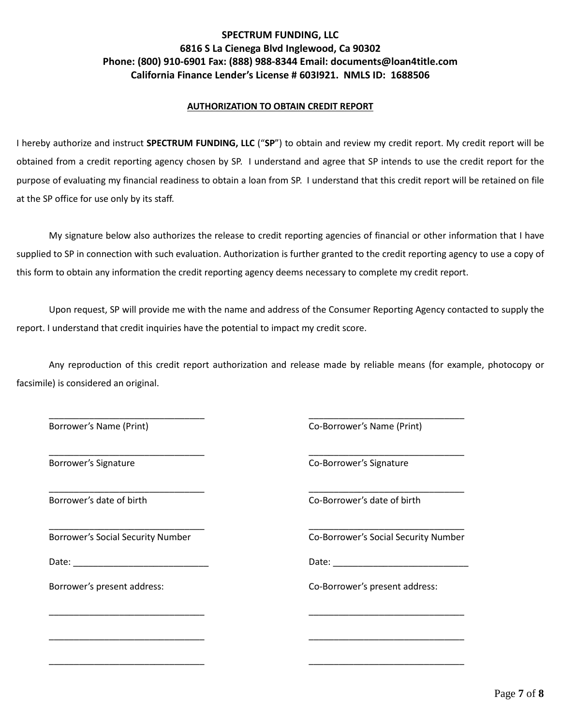#### **AUTHORIZATION TO OBTAIN CREDIT REPORT**

I hereby authorize and instruct **SPECTRUM FUNDING, LLC** ("**SP**") to obtain and review my credit report. My credit report will be obtained from a credit reporting agency chosen by SP. I understand and agree that SP intends to use the credit report for the purpose of evaluating my financial readiness to obtain a loan from SP. I understand that this credit report will be retained on file at the SP office for use only by its staff.

My signature below also authorizes the release to credit reporting agencies of financial or other information that I have supplied to SP in connection with such evaluation. Authorization is further granted to the credit reporting agency to use a copy of this form to obtain any information the credit reporting agency deems necessary to complete my credit report.

Upon request, SP will provide me with the name and address of the Consumer Reporting Agency contacted to supply the report. I understand that credit inquiries have the potential to impact my credit score.

Any reproduction of this credit report authorization and release made by reliable means (for example, photocopy or facsimile) is considered an original.

\_\_\_\_\_\_\_\_\_\_\_\_\_\_\_\_\_\_\_\_\_\_\_\_\_\_\_\_\_\_\_ \_\_\_\_\_\_\_\_\_\_\_\_\_\_\_\_\_\_\_\_\_\_\_\_\_\_\_\_\_\_\_

\_\_\_\_\_\_\_\_\_\_\_\_\_\_\_\_\_\_\_\_\_\_\_\_\_\_\_\_\_\_\_ \_\_\_\_\_\_\_\_\_\_\_\_\_\_\_\_\_\_\_\_\_\_\_\_\_\_\_\_\_\_\_

\_\_\_\_\_\_\_\_\_\_\_\_\_\_\_\_\_\_\_\_\_\_\_\_\_\_\_\_\_\_\_ \_\_\_\_\_\_\_\_\_\_\_\_\_\_\_\_\_\_\_\_\_\_\_\_\_\_\_\_\_\_\_

\_\_\_\_\_\_\_\_\_\_\_\_\_\_\_\_\_\_\_\_\_\_\_\_\_\_\_\_\_\_\_ \_\_\_\_\_\_\_\_\_\_\_\_\_\_\_\_\_\_\_\_\_\_\_\_\_\_\_\_\_\_\_

\_\_\_\_\_\_\_\_\_\_\_\_\_\_\_\_\_\_\_\_\_\_\_\_\_\_\_\_\_\_\_ \_\_\_\_\_\_\_\_\_\_\_\_\_\_\_\_\_\_\_\_\_\_\_\_\_\_\_\_\_\_\_

\_\_\_\_\_\_\_\_\_\_\_\_\_\_\_\_\_\_\_\_\_\_\_\_\_\_\_\_\_\_\_ \_\_\_\_\_\_\_\_\_\_\_\_\_\_\_\_\_\_\_\_\_\_\_\_\_\_\_\_\_\_\_

Borrower's Name (Print) The Co-Borrower's Name (Print) Co-Borrower's Name (Print)

Borrower's Signature Co-Borrower's Signature Co-Borrower's Signature

\_\_\_\_\_\_\_\_\_\_\_\_\_\_\_\_\_\_\_\_\_\_\_\_\_\_\_\_\_\_\_ \_\_\_\_\_\_\_\_\_\_\_\_\_\_\_\_\_\_\_\_\_\_\_\_\_\_\_\_\_\_\_ Borrower's date of birth Co-Borrower's date of birth Co-Borrower's date of birth

Borrower's Social Security Number Co-Borrower's Social Security Number

Date: \_\_\_\_\_\_\_\_\_\_\_\_\_\_\_\_\_\_\_\_\_\_\_\_\_\_\_ Date: \_\_\_\_\_\_\_\_\_\_\_\_\_\_\_\_\_\_\_\_\_\_\_\_\_\_\_

Borrower's present address: Co-Borrower's present address: